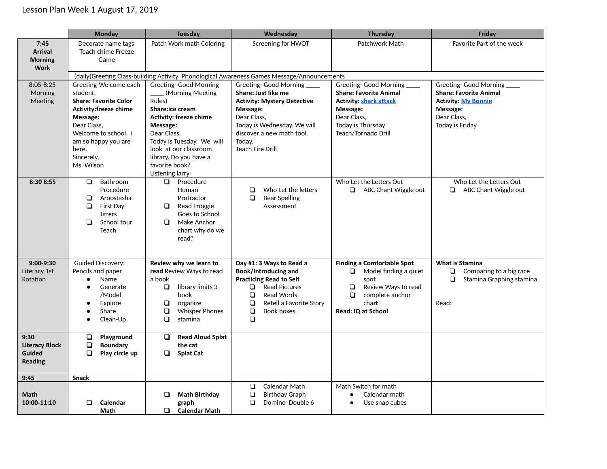|                                                           | <b>Monday</b>                                                                                                                                                                                                    | <b>Tuesday</b>                                                                                                                                                                                                                                                  | Wednesday                                                                                                                                                                                                                  | <b>Thursday</b>                                                                                                                                                      | Friday                                                                                                                                   |
|-----------------------------------------------------------|------------------------------------------------------------------------------------------------------------------------------------------------------------------------------------------------------------------|-----------------------------------------------------------------------------------------------------------------------------------------------------------------------------------------------------------------------------------------------------------------|----------------------------------------------------------------------------------------------------------------------------------------------------------------------------------------------------------------------------|----------------------------------------------------------------------------------------------------------------------------------------------------------------------|------------------------------------------------------------------------------------------------------------------------------------------|
| 7:45<br><b>Arrival</b><br><b>Morning</b><br><b>Work</b>   | Decorate name tags<br>Teach chime Freeze<br>Game                                                                                                                                                                 | Patch Work math Coloring                                                                                                                                                                                                                                        | Screening for HWOT                                                                                                                                                                                                         | Patchwork Math                                                                                                                                                       | Favorite Part of the week                                                                                                                |
|                                                           |                                                                                                                                                                                                                  |                                                                                                                                                                                                                                                                 | (daily)Greeting Class-building Activity Phonological Awareness Games Message/Announcements                                                                                                                                 |                                                                                                                                                                      |                                                                                                                                          |
| $8:05 - 8:25$<br>Morning<br>Meeting                       | Greeting-Welcome each<br>student.<br><b>Share: Favorite Color</b><br><b>Activity:freeze chime</b><br>Message:<br>Dear Class,<br>Welcome to school. I<br>am so happy you are<br>here.<br>Sincerely,<br>Ms. Wilson | <b>Greeting- Good Morning</b><br>(Morning Meeting<br>Rules)<br>Share:ice cream<br><b>Activity: freeze chime</b><br>Message:<br>Dear Class,<br>Today is Tuesday. We will<br>look at our classroom<br>library. Do you have a<br>favorite book?<br>Listening larry | Greeting- Good Morning<br>Share: Just like me<br><b>Activity: Mystery Detective</b><br>Message:<br>Dear Class.<br>Today is Wednesday. We will<br>discover a new math tool.<br>Today.<br><b>Teach Fire Drill</b>            | Greeting- Good Morning ____<br><b>Share: Favorite Animal</b><br><b>Activity: shark attack</b><br>Message:<br>Dear Class,<br>Today is Thursday<br>Teach/Tornado Drill | Greeting- Good Morning ____<br><b>Share: Favorite Animal</b><br><b>Activity: My Bonnie</b><br>Message:<br>Dear Class,<br>Today is Friday |
| 8:30 8:55                                                 | Bathroom<br>$\Box$<br>Procedure<br>Aroostasha<br>❏<br>$\Box$<br><b>First Day</b><br><b>Jitters</b><br>School tour<br>$\Box$<br>Teach                                                                             | Procedure<br>$\Box$<br>Human<br>Protractor<br>Read Froggie<br>$\Box$<br>Goes to School<br>Make Anchor<br>$\Box$<br>chart why do we<br>read?                                                                                                                     | Who Let the letters<br>$\Box$<br>$\Box$<br><b>Bear Spelling</b><br>Assessment                                                                                                                                              | Who Let the Letters Out<br>$\Box$ ABC Chant Wiggle out                                                                                                               | Who Let the Letters Out<br>ABC Chant Wiggle out<br>$\Box$                                                                                |
| $9:00-9:30$<br>Literacy 1st<br>Rotation                   | <b>Guided Discovery:</b><br>Pencils and paper<br>Name<br>$\bullet$<br>Generate<br>$\bullet$<br>/Model<br>Explore<br>Share<br>$\bullet$<br>Clean-Up                                                               | Review why we learn to<br>read Review Ways to read<br>a book<br>library limits 3<br>$\Box$<br>book<br>◘<br>organize<br>$\Box$<br><b>Whisper Phones</b><br>$\Box$<br>stamina                                                                                     | Day #1: 3 Ways to Read a<br>Book/Introducing and<br><b>Practicing Read to Self</b><br><b>Read Pictures</b><br>$\Box$<br>$\Box$<br><b>Read Words</b><br>$\Box$<br>Retell a Favorite Story<br>$\Box$<br>Book boxes<br>$\Box$ | <b>Finding a Comfortable Spot</b><br>Model finding a quiet<br>$\Box$<br>spot<br>Review Ways to read<br>$\Box$<br>О<br>complete anchor<br>chart<br>Read: IQ at School | <b>What is Stamina</b><br>$\Box$<br>Comparing to a big race<br>Stamina Graphing stamina<br>◘<br>Read:                                    |
| 9:30<br><b>Literacy Block</b><br>Guided<br><b>Reading</b> | Playground<br><b>Boundary</b><br>o<br>o.<br>Play circle up                                                                                                                                                       | $\Box$<br><b>Read Aloud Splat</b><br>the cat<br><b>Splat Cat</b><br>0                                                                                                                                                                                           |                                                                                                                                                                                                                            |                                                                                                                                                                      |                                                                                                                                          |
| 9:45                                                      | <b>Snack</b>                                                                                                                                                                                                     |                                                                                                                                                                                                                                                                 |                                                                                                                                                                                                                            |                                                                                                                                                                      |                                                                                                                                          |
| Math<br>10:00-11:10                                       | O.<br>Calendar<br>Math                                                                                                                                                                                           | <b>Math Birthday</b><br>0<br>graph<br>$\Box$<br><b>Calendar Math</b>                                                                                                                                                                                            | Calendar Math<br>$\Box$<br><b>Birthday Graph</b><br>$\Box$<br>$\Box$<br>Domino Double 6                                                                                                                                    | Math Switch for math<br>Calendar math<br>$\bullet$<br>Use snap cubes<br>$\bullet$                                                                                    |                                                                                                                                          |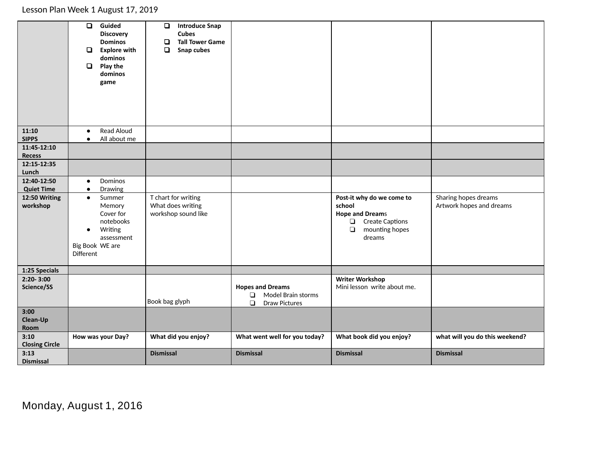|                                    | $\Box$<br>Guided<br><b>Discovery</b><br><b>Dominos</b><br><b>Explore with</b><br>dominos<br>Play the<br>$\Box$<br>dominos<br>game | $\Box$<br><b>Introduce Snap</b><br><b>Cubes</b><br><b>Tall Tower Game</b><br>❏<br>$\Box$<br>Snap cubes |                                |                                    |                                |
|------------------------------------|-----------------------------------------------------------------------------------------------------------------------------------|--------------------------------------------------------------------------------------------------------|--------------------------------|------------------------------------|--------------------------------|
| 11:10                              | Read Aloud<br>$\bullet$                                                                                                           |                                                                                                        |                                |                                    |                                |
| <b>SIPPS</b>                       | All about me<br>$\bullet$                                                                                                         |                                                                                                        |                                |                                    |                                |
| 11:45-12:10<br>Recess              |                                                                                                                                   |                                                                                                        |                                |                                    |                                |
| 12:15-12:35                        |                                                                                                                                   |                                                                                                        |                                |                                    |                                |
| Lunch                              |                                                                                                                                   |                                                                                                        |                                |                                    |                                |
| 12:40-12:50                        | Dominos<br>$\bullet$                                                                                                              |                                                                                                        |                                |                                    |                                |
| <b>Quiet Time</b><br>12:50 Writing | Drawing<br>$\bullet$<br>Summer<br>$\bullet$                                                                                       | T chart for writing                                                                                    |                                | Post-it why do we come to          | Sharing hopes dreams           |
| workshop                           | Memory                                                                                                                            | What does writing                                                                                      |                                | school                             | Artwork hopes and dreams       |
|                                    | Cover for                                                                                                                         | workshop sound like                                                                                    |                                | <b>Hope and Dreams</b>             |                                |
|                                    | notebooks                                                                                                                         |                                                                                                        |                                | Create Captions                    |                                |
|                                    | Writing<br>$\bullet$<br>assessment                                                                                                |                                                                                                        |                                | mounting hopes<br>$\Box$<br>dreams |                                |
|                                    | Big Book WE are                                                                                                                   |                                                                                                        |                                |                                    |                                |
|                                    | Different                                                                                                                         |                                                                                                        |                                |                                    |                                |
|                                    |                                                                                                                                   |                                                                                                        |                                |                                    |                                |
| 1:25 Specials<br>$2:20 - 3:00$     |                                                                                                                                   |                                                                                                        |                                | <b>Writer Workshop</b>             |                                |
| Science/SS                         |                                                                                                                                   |                                                                                                        | <b>Hopes and Dreams</b>        | Mini lesson write about me.        |                                |
|                                    |                                                                                                                                   |                                                                                                        | Model Brain storms<br>$\Box$   |                                    |                                |
|                                    |                                                                                                                                   | Book bag glyph                                                                                         | $\Box$<br><b>Draw Pictures</b> |                                    |                                |
| 3:00                               |                                                                                                                                   |                                                                                                        |                                |                                    |                                |
| Clean-Up<br>Room                   |                                                                                                                                   |                                                                                                        |                                |                                    |                                |
| 3:10                               | How was your Day?                                                                                                                 | What did you enjoy?                                                                                    | What went well for you today?  | What book did you enjoy?           | what will you do this weekend? |
| <b>Closing Circle</b>              |                                                                                                                                   |                                                                                                        |                                |                                    |                                |
| 3:13                               |                                                                                                                                   | <b>Dismissal</b>                                                                                       | <b>Dismissal</b>               | <b>Dismissal</b>                   | <b>Dismissal</b>               |
| <b>Dismissal</b>                   |                                                                                                                                   |                                                                                                        |                                |                                    |                                |

Monday, August 1, 2016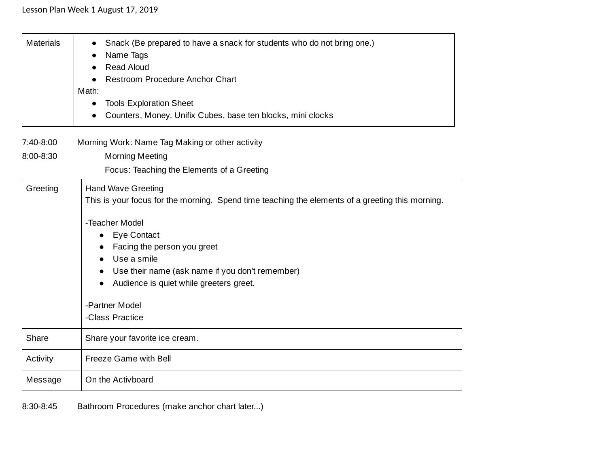| <b>Materials</b> | Snack (Be prepared to have a snack for students who do not bring one.)<br>Name Tags<br><b>Read Aloud</b><br><b>Restroom Procedure Anchor Chart</b><br>Math:<br><b>Tools Exploration Sheet</b><br>$\bullet$<br>Counters, Money, Unifix Cubes, base ten blocks, mini clocks                                                                                           |
|------------------|---------------------------------------------------------------------------------------------------------------------------------------------------------------------------------------------------------------------------------------------------------------------------------------------------------------------------------------------------------------------|
| 7:40-8:00        | Morning Work: Name Tag Making or other activity                                                                                                                                                                                                                                                                                                                     |
| 8:00-8:30        | <b>Morning Meeting</b><br>Focus: Teaching the Elements of a Greeting                                                                                                                                                                                                                                                                                                |
| Greeting         | <b>Hand Wave Greeting</b><br>This is your focus for the morning. Spend time teaching the elements of a greeting this morning.<br>-Teacher Model<br><b>Eye Contact</b><br>$\bullet$<br>Facing the person you greet<br>Use a smile<br>Use their name (ask name if you don't remember)<br>Audience is quiet while greeters greet.<br>-Partner Model<br>-Class Practice |
| Share            | Share your favorite ice cream.                                                                                                                                                                                                                                                                                                                                      |
| Activity         | Freeze Game with Bell                                                                                                                                                                                                                                                                                                                                               |
| Message          | On the Activboard                                                                                                                                                                                                                                                                                                                                                   |

8:30-8:45 Bathroom Procedures (make anchor chart later...)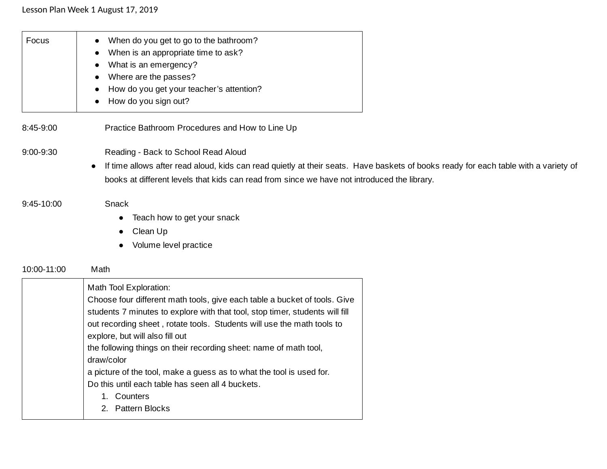| Focus       | When do you get to go to the bathroom?<br>$\bullet$<br>When is an appropriate time to ask?<br>What is an emergency?<br>$\bullet$<br>Where are the passes?<br>How do you get your teacher's attention?<br>How do you sign out?<br>$\bullet$                                |
|-------------|---------------------------------------------------------------------------------------------------------------------------------------------------------------------------------------------------------------------------------------------------------------------------|
| 8:45-9:00   | Practice Bathroom Procedures and How to Line Up                                                                                                                                                                                                                           |
| 9:00-9:30   | Reading - Back to School Read Aloud<br>If time allows after read aloud, kids can read quietly at their seats. Have baskets of books ready for each table with a variety of<br>books at different levels that kids can read from since we have not introduced the library. |
| 9:45-10:00  | Snack<br>Teach how to get your snack<br>$\bullet$<br>Clean Up<br>Volume level practice                                                                                                                                                                                    |
| 10:00-11:00 | Math                                                                                                                                                                                                                                                                      |
|             | Math Tool Exploration:<br>Choose four different math tools, give each table a bucket of tools. Give                                                                                                                                                                       |

| CHOOSE TOUL UNIFIER IN HIGH TOOIS, GIVE EQUIT LADIE A DUCKEL OF LOOIS. GIVE  |
|------------------------------------------------------------------------------|
| students 7 minutes to explore with that tool, stop timer, students will fill |
| out recording sheet, rotate tools. Students will use the math tools to       |
| explore, but will also fill out                                              |
| the following things on their recording sheet: name of math tool,            |
| draw/color                                                                   |
| a picture of the tool, make a guess as to what the tool is used for.         |
| Do this until each table has seen all 4 buckets.                             |
| Counters                                                                     |
| 2. Pattern Blocks                                                            |
|                                                                              |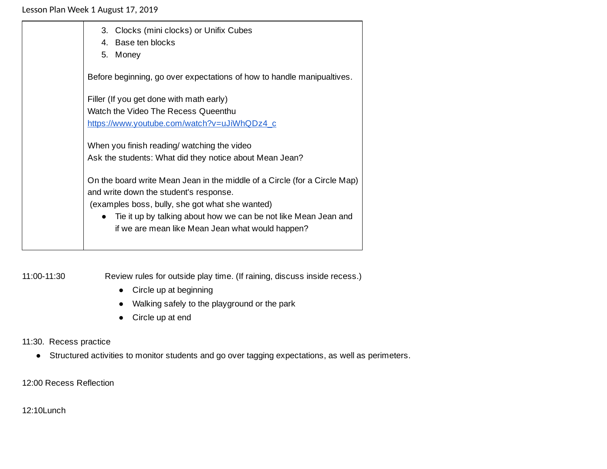| 3. Clocks (mini clocks) or Unifix Cubes<br>4. Base ten blocks<br>5.<br>Money                                                                                                                                                                                                                               |
|------------------------------------------------------------------------------------------------------------------------------------------------------------------------------------------------------------------------------------------------------------------------------------------------------------|
| Before beginning, go over expectations of how to handle manipualtives.                                                                                                                                                                                                                                     |
| Filler (If you get done with math early)<br>Watch the Video The Recess Queenthu<br>https://www.youtube.com/watch?v=uJiWhQDz4_c                                                                                                                                                                             |
| When you finish reading/ watching the video<br>Ask the students: What did they notice about Mean Jean?                                                                                                                                                                                                     |
| On the board write Mean Jean in the middle of a Circle (for a Circle Map)<br>and write down the student's response.<br>(examples boss, bully, she got what she wanted)<br>Tie it up by talking about how we can be not like Mean Jean and<br>$\bullet$<br>if we are mean like Mean Jean what would happen? |

11:00-11:30 Review rules for outside play time. (If raining, discuss inside recess.)

- Circle up at beginning
- Walking safely to the playground or the park
- Circle up at end

### 11:30. Recess practice

● Structured activities to monitor students and go over tagging expectations, as well as perimeters.

12:00 Recess Reflection

12:10Lunch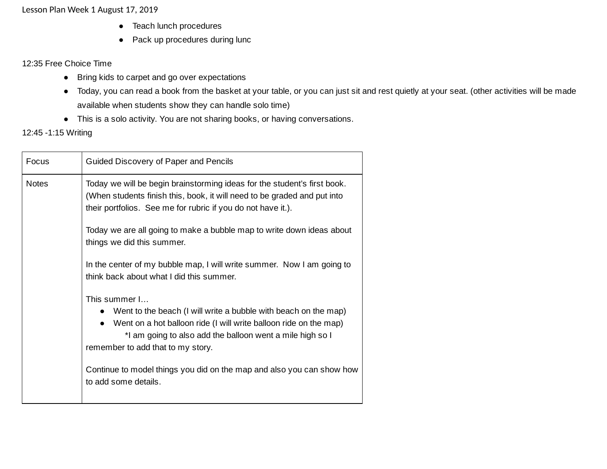- Teach lunch procedures
- Pack up procedures during lunc

#### 12:35 Free Choice Time

- Bring kids to carpet and go over expectations
- Today, you can read a book from the basket at your table, or you can just sit and rest quietly at your seat. (other activities will be made available when students show they can handle solo time)
- This is a solo activity. You are not sharing books, or having conversations.

### 12:45 -1:15 Writing

| Focus        | Guided Discovery of Paper and Pencils                                                                                                                                                                                                                                                                                                                        |
|--------------|--------------------------------------------------------------------------------------------------------------------------------------------------------------------------------------------------------------------------------------------------------------------------------------------------------------------------------------------------------------|
| <b>Notes</b> | Today we will be begin brainstorming ideas for the student's first book.<br>(When students finish this, book, it will need to be graded and put into<br>their portfolios. See me for rubric if you do not have it.).                                                                                                                                         |
|              | Today we are all going to make a bubble map to write down ideas about<br>things we did this summer.                                                                                                                                                                                                                                                          |
|              | In the center of my bubble map, I will write summer. Now I am going to<br>think back about what I did this summer.                                                                                                                                                                                                                                           |
|              | This summer I<br>• Went to the beach (I will write a bubble with beach on the map)<br>• Went on a hot balloon ride (I will write balloon ride on the map)<br>*I am going to also add the balloon went a mile high so I<br>remember to add that to my story.<br>Continue to model things you did on the map and also you can show how<br>to add some details. |
|              |                                                                                                                                                                                                                                                                                                                                                              |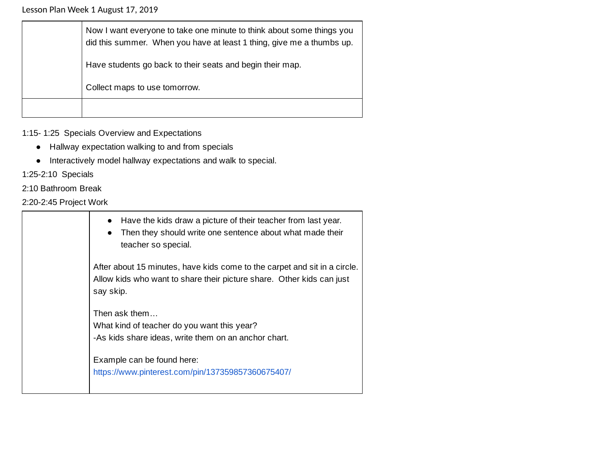| Now I want everyone to take one minute to think about some things you<br>did this summer. When you have at least 1 thing, give me a thumbs up. |
|------------------------------------------------------------------------------------------------------------------------------------------------|
| Have students go back to their seats and begin their map.                                                                                      |
| Collect maps to use tomorrow.                                                                                                                  |
|                                                                                                                                                |

1:15- 1:25 Specials Overview and Expectations

- Hallway expectation walking to and from specials
- Interactively model hallway expectations and walk to special.

1:25-2:10 Specials

2:10 Bathroom Break

2:20-2:45 Project Work

| Have the kids draw a picture of their teacher from last year.<br>Then they should write one sentence about what made their<br>teacher so special.               |
|-----------------------------------------------------------------------------------------------------------------------------------------------------------------|
| After about 15 minutes, have kids come to the carpet and sit in a circle.<br>Allow kids who want to share their picture share. Other kids can just<br>say skip. |
| Then ask them<br>What kind of teacher do you want this year?<br>-As kids share ideas, write them on an anchor chart.                                            |
| Example can be found here:<br>https://www.pinterest.com/pin/137359857360675407/                                                                                 |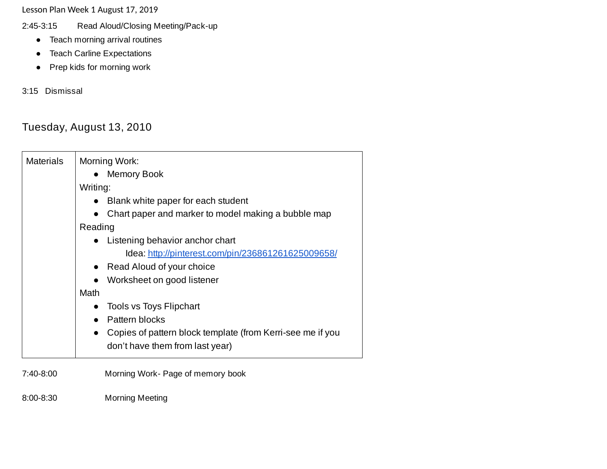- 2:45-3:15 Read Aloud/Closing Meeting/Pack-up
	- Teach morning arrival routines
	- Teach Carline Expectations
	- Prep kids for morning work

3:15 Dismissal

# Tuesday, August 13, 2010

| <b>Materials</b> | Morning Work:                                                           |  |  |
|------------------|-------------------------------------------------------------------------|--|--|
|                  | <b>Memory Book</b>                                                      |  |  |
|                  | Writing:                                                                |  |  |
|                  | Blank white paper for each student<br>$\bullet$                         |  |  |
|                  | Chart paper and marker to model making a bubble map                     |  |  |
|                  | Reading                                                                 |  |  |
|                  | Listening behavior anchor chart                                         |  |  |
|                  | Idea: http://pinterest.com/pin/236861261625009658/                      |  |  |
|                  | Read Aloud of your choice<br>$\bullet$                                  |  |  |
|                  | Worksheet on good listener<br>$\bullet$                                 |  |  |
|                  | Math                                                                    |  |  |
|                  | <b>Tools vs Toys Flipchart</b>                                          |  |  |
|                  | Pattern blocks                                                          |  |  |
|                  | Copies of pattern block template (from Kerri-see me if you<br>$\bullet$ |  |  |
|                  | don't have them from last year)                                         |  |  |
| 7:40-8:00        | Morning Work- Page of memory book                                       |  |  |

8:00-8:30 Morning Meeting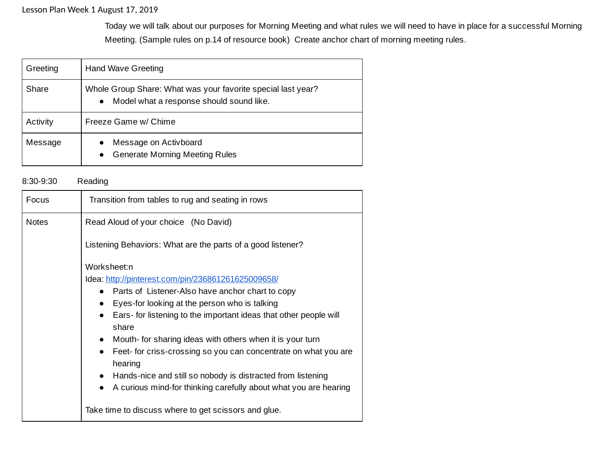Today we will talk about our purposes for Morning Meeting and what rules we will need to have in place for a successful Morning Meeting. (Sample rules on p.14 of resource book) Create anchor chart of morning meeting rules.

| Greeting | <b>Hand Wave Greeting</b>                                                                                             |
|----------|-----------------------------------------------------------------------------------------------------------------------|
| Share    | Whole Group Share: What was your favorite special last year?<br>Model what a response should sound like.<br>$\bullet$ |
| Activity | Freeze Game w/ Chime                                                                                                  |
| Message  | Message on Activboard<br>$\bullet$<br><b>Generate Morning Meeting Rules</b><br>$\bullet$                              |

#### 8:30-9:30 Reading

| Focus        | Transition from tables to rug and seating in rows                            |
|--------------|------------------------------------------------------------------------------|
| <b>Notes</b> | Read Aloud of your choice (No David)                                         |
|              | Listening Behaviors: What are the parts of a good listener?                  |
|              | Worksheet:n                                                                  |
|              | Idea: http://pinterest.com/pin/236861261625009658/                           |
|              | Parts of Listener-Also have anchor chart to copy                             |
|              | Eyes-for looking at the person who is talking                                |
|              | Ears- for listening to the important ideas that other people will            |
|              | share                                                                        |
|              | Mouth- for sharing ideas with others when it is your turn<br>$\bullet$       |
|              | Feet- for criss-crossing so you can concentrate on what you are<br>$\bullet$ |
|              | hearing                                                                      |
|              | Hands-nice and still so nobody is distracted from listening<br>$\bullet$     |
|              | A curious mind-for thinking carefully about what you are hearing             |
|              | Take time to discuss where to get scissors and glue.                         |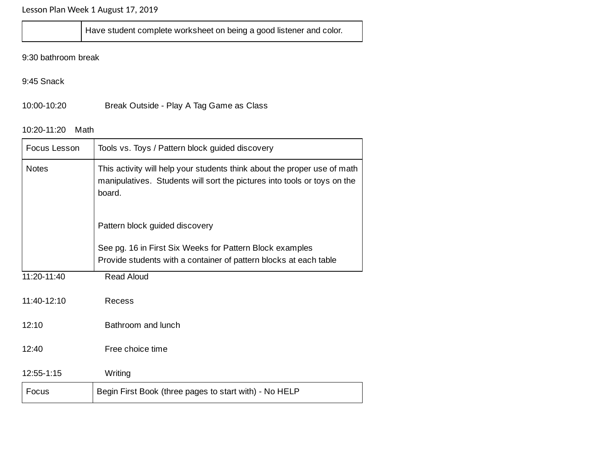Have student complete worksheet on being a good listener and color.

9:30 bathroom break

9:45 Snack

10:00-10:20 Break Outside - Play A Tag Game as Class

## 10:20-11:20 Math

| Focus Lesson                                                    | Tools vs. Toys / Pattern block guided discovery                                                                                                                |  |  |
|-----------------------------------------------------------------|----------------------------------------------------------------------------------------------------------------------------------------------------------------|--|--|
| <b>Notes</b>                                                    | This activity will help your students think about the proper use of math<br>manipulatives. Students will sort the pictures into tools or toys on the<br>board. |  |  |
|                                                                 | Pattern block guided discovery                                                                                                                                 |  |  |
|                                                                 | See pg. 16 in First Six Weeks for Pattern Block examples<br>Provide students with a container of pattern blocks at each table                                  |  |  |
| 11:20-11:40                                                     | <b>Read Aloud</b>                                                                                                                                              |  |  |
| 11:40-12:10                                                     | Recess                                                                                                                                                         |  |  |
| 12:10                                                           | Bathroom and lunch                                                                                                                                             |  |  |
| 12:40<br>Free choice time                                       |                                                                                                                                                                |  |  |
| 12:55-1:15                                                      | Writing                                                                                                                                                        |  |  |
| Begin First Book (three pages to start with) - No HELP<br>Focus |                                                                                                                                                                |  |  |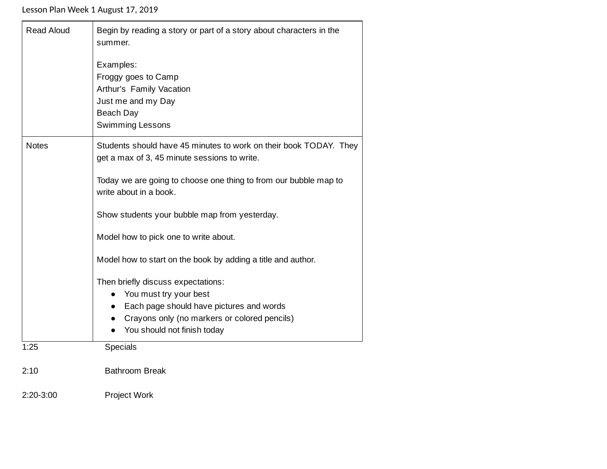| <b>Read Aloud</b> | Begin by reading a story or part of a story about characters in the<br>summer.             |  |  |  |
|-------------------|--------------------------------------------------------------------------------------------|--|--|--|
|                   | Examples:                                                                                  |  |  |  |
|                   | Froggy goes to Camp                                                                        |  |  |  |
|                   | Arthur's Family Vacation                                                                   |  |  |  |
|                   | Just me and my Day                                                                         |  |  |  |
|                   | Beach Day                                                                                  |  |  |  |
|                   | <b>Swimming Lessons</b>                                                                    |  |  |  |
| <b>Notes</b>      | Students should have 45 minutes to work on their book TODAY. They                          |  |  |  |
|                   | get a max of 3, 45 minute sessions to write.                                               |  |  |  |
|                   | Today we are going to choose one thing to from our bubble map to<br>write about in a book. |  |  |  |
|                   | Show students your bubble map from yesterday.                                              |  |  |  |
|                   | Model how to pick one to write about.                                                      |  |  |  |
|                   | Model how to start on the book by adding a title and author.                               |  |  |  |
|                   | Then briefly discuss expectations:                                                         |  |  |  |
|                   | You must try your best<br>$\bullet$                                                        |  |  |  |
|                   | Each page should have pictures and words<br>$\bullet$                                      |  |  |  |
|                   | Crayons only (no markers or colored pencils)<br>$\bullet$                                  |  |  |  |
|                   | You should not finish today<br>$\bullet$                                                   |  |  |  |
| 1:25              | <b>Specials</b>                                                                            |  |  |  |
| 2:10              | <b>Bathroom Break</b>                                                                      |  |  |  |
| $2:20-3:00$       | <b>Project Work</b>                                                                        |  |  |  |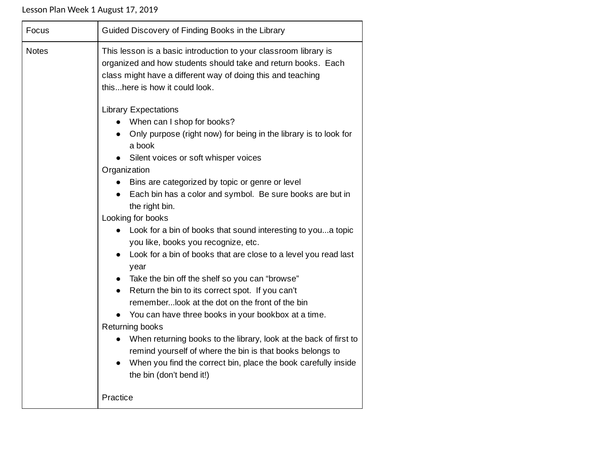| Focus        | Guided Discovery of Finding Books in the Library                                                                                                                                                                                                                                                                                                                                                                                                                                                                                                                                                                                                                                                                                                                                                                                                                                                                                                                                                                                                                    |  |  |
|--------------|---------------------------------------------------------------------------------------------------------------------------------------------------------------------------------------------------------------------------------------------------------------------------------------------------------------------------------------------------------------------------------------------------------------------------------------------------------------------------------------------------------------------------------------------------------------------------------------------------------------------------------------------------------------------------------------------------------------------------------------------------------------------------------------------------------------------------------------------------------------------------------------------------------------------------------------------------------------------------------------------------------------------------------------------------------------------|--|--|
| <b>Notes</b> | This lesson is a basic introduction to your classroom library is<br>organized and how students should take and return books. Each<br>class might have a different way of doing this and teaching<br>thishere is how it could look.                                                                                                                                                                                                                                                                                                                                                                                                                                                                                                                                                                                                                                                                                                                                                                                                                                  |  |  |
|              | <b>Library Expectations</b><br>• When can I shop for books?<br>Only purpose (right now) for being in the library is to look for<br>a book<br>Silent voices or soft whisper voices<br>Organization<br>Bins are categorized by topic or genre or level<br>Each bin has a color and symbol. Be sure books are but in<br>$\bullet$<br>the right bin.<br>Looking for books<br>Look for a bin of books that sound interesting to youa topic<br>$\bullet$<br>you like, books you recognize, etc.<br>Look for a bin of books that are close to a level you read last<br>year<br>Take the bin off the shelf so you can "browse"<br>Return the bin to its correct spot. If you can't<br>$\bullet$<br>rememberlook at the dot on the front of the bin<br>• You can have three books in your bookbox at a time.<br>Returning books<br>When returning books to the library, look at the back of first to<br>$\bullet$<br>remind yourself of where the bin is that books belongs to<br>When you find the correct bin, place the book carefully inside<br>the bin (don't bend it!) |  |  |
|              | Practice                                                                                                                                                                                                                                                                                                                                                                                                                                                                                                                                                                                                                                                                                                                                                                                                                                                                                                                                                                                                                                                            |  |  |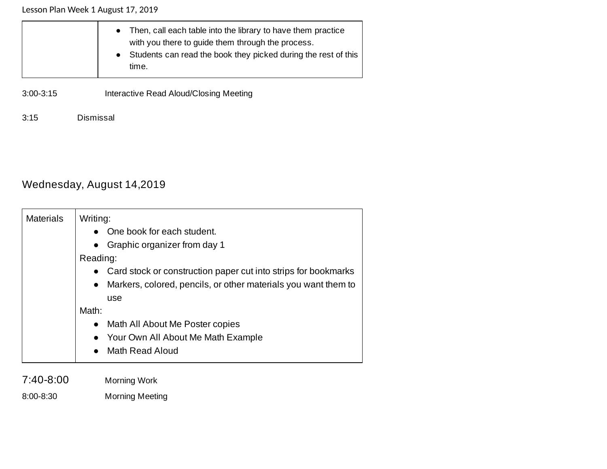|               | • Then, call each table into the library to have them practice<br>with you there to guide them through the process.<br>• Students can read the book they picked during the rest of this<br>time. |
|---------------|--------------------------------------------------------------------------------------------------------------------------------------------------------------------------------------------------|
| $3:00 - 3:15$ | Interactive Read Aloud/Closing Meeting                                                                                                                                                           |

3:15 Dismissal

# Wednesday, August 14,2019

| <b>Materials</b><br>Writing:                                                |  |  |
|-----------------------------------------------------------------------------|--|--|
| One book for each student.                                                  |  |  |
| Graphic organizer from day 1<br>$\bullet$                                   |  |  |
| Reading:                                                                    |  |  |
| • Card stock or construction paper cut into strips for bookmarks            |  |  |
| Markers, colored, pencils, or other materials you want them to<br>$\bullet$ |  |  |
| use                                                                         |  |  |
| Math:                                                                       |  |  |
| Math All About Me Poster copies<br>$\bullet$                                |  |  |
| Your Own All About Me Math Example<br>$\bullet$                             |  |  |
| Math Read Aloud<br>$\bullet$                                                |  |  |
|                                                                             |  |  |

7:40-8:00 Morning Work 8:00-8:30 Morning Meeting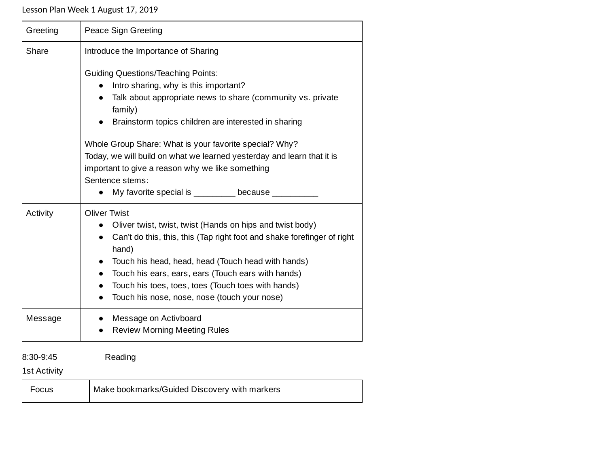| Greeting                         | Peace Sign Greeting                                                                                                                                                                                                                                                                                                                                                                                                                                                                                                |  |  |
|----------------------------------|--------------------------------------------------------------------------------------------------------------------------------------------------------------------------------------------------------------------------------------------------------------------------------------------------------------------------------------------------------------------------------------------------------------------------------------------------------------------------------------------------------------------|--|--|
| Share                            | Introduce the Importance of Sharing<br><b>Guiding Questions/Teaching Points:</b><br>Intro sharing, why is this important?<br>Talk about appropriate news to share (community vs. private<br>family)<br>Brainstorm topics children are interested in sharing<br>Whole Group Share: What is your favorite special? Why?<br>Today, we will build on what we learned yesterday and learn that it is<br>important to give a reason why we like something<br>Sentence stems:<br>My favorite special is _________ because |  |  |
| Activity                         | <b>Oliver Twist</b><br>Oliver twist, twist, twist (Hands on hips and twist body)<br>Can't do this, this, this (Tap right foot and shake forefinger of right<br>hand)<br>Touch his head, head, head (Touch head with hands)<br>$\bullet$<br>Touch his ears, ears, ears (Touch ears with hands)<br>$\bullet$<br>Touch his toes, toes, toes (Touch toes with hands)<br>$\bullet$<br>Touch his nose, nose, nose (touch your nose)                                                                                      |  |  |
| Message                          | Message on Activboard<br><b>Review Morning Meeting Rules</b>                                                                                                                                                                                                                                                                                                                                                                                                                                                       |  |  |
| 8:30-9:45<br><b>1st Activity</b> | Reading                                                                                                                                                                                                                                                                                                                                                                                                                                                                                                            |  |  |

| Focus | Make bookmarks/Guided Discovery with markers |
|-------|----------------------------------------------|
|-------|----------------------------------------------|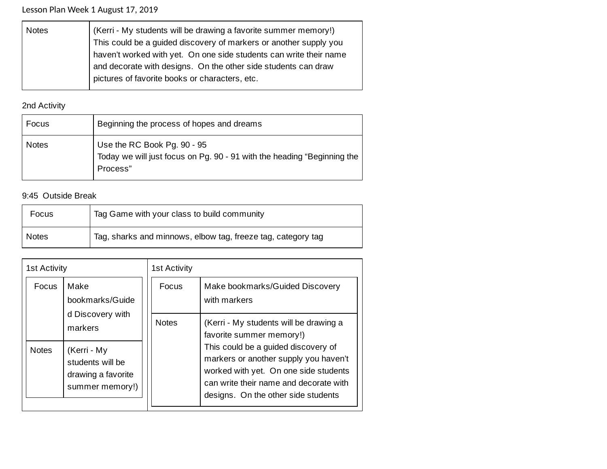| <b>Notes</b> | (Kerri - My students will be drawing a favorite summer memory!)    |  |  |  |
|--------------|--------------------------------------------------------------------|--|--|--|
|              | This could be a guided discovery of markers or another supply you  |  |  |  |
|              | haven't worked with yet. On one side students can write their name |  |  |  |
|              | and decorate with designs. On the other side students can draw     |  |  |  |
|              | pictures of favorite books or characters, etc.                     |  |  |  |
|              |                                                                    |  |  |  |

# 2nd Activity

| Focus        | Beginning the process of hopes and dreams                                                                          |  |
|--------------|--------------------------------------------------------------------------------------------------------------------|--|
| <b>Notes</b> | Use the RC Book Pg. 90 - 95<br>Today we will just focus on Pg. 90 - 91 with the heading "Beginning the<br>Process" |  |

## 9:45 Outside Break

| Focus        | Tag Game with your class to build community                  |  |
|--------------|--------------------------------------------------------------|--|
| <b>Notes</b> | Tag, sharks and minnows, elbow tag, freeze tag, category tag |  |

| <b>1st Activity</b> |                                                                                     | <b>1st Activity</b>   |                                                                                                                                                                                                                                    |
|---------------------|-------------------------------------------------------------------------------------|-----------------------|------------------------------------------------------------------------------------------------------------------------------------------------------------------------------------------------------------------------------------|
| Focus               | Make<br>bookmarks/Guide<br>d Discovery with                                         | Focus<br><b>Notes</b> | Make bookmarks/Guided Discovery<br>with markers<br>(Kerri - My students will be drawing a                                                                                                                                          |
| <b>Notes</b>        | markers<br>(Kerri - My<br>students will be<br>drawing a favorite<br>summer memory!) |                       | favorite summer memory!)<br>This could be a guided discovery of<br>markers or another supply you haven't<br>worked with yet. On one side students<br>can write their name and decorate with<br>designs. On the other side students |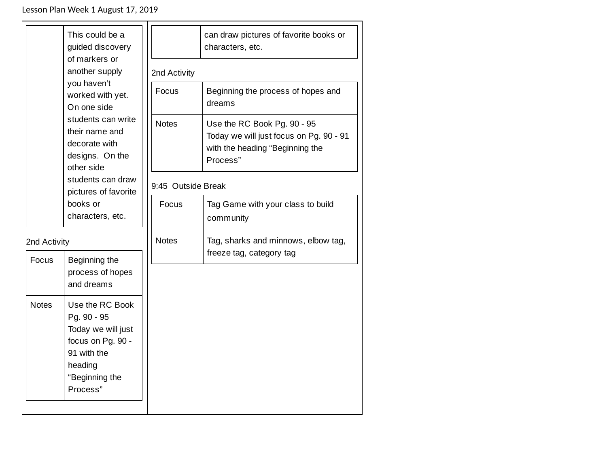|              | This could be a<br>guided discovery<br>of markers or                                                                                                       |                    | can draw pictures of favorite books or<br>characters, etc.                                                            |  |
|--------------|------------------------------------------------------------------------------------------------------------------------------------------------------------|--------------------|-----------------------------------------------------------------------------------------------------------------------|--|
|              | another supply<br>you haven't<br>worked with yet.<br>On one side<br>students can write<br>their name and<br>decorate with<br>designs. On the<br>other side | 2nd Activity       |                                                                                                                       |  |
|              |                                                                                                                                                            | Focus              | Beginning the process of hopes and<br>dreams                                                                          |  |
|              |                                                                                                                                                            | <b>Notes</b>       | Use the RC Book Pg. 90 - 95<br>Today we will just focus on Pg. 90 - 91<br>with the heading "Beginning the<br>Process" |  |
|              | students can draw<br>pictures of favorite                                                                                                                  | 9:45 Outside Break |                                                                                                                       |  |
|              | books or<br>characters, etc.                                                                                                                               | Focus              | Tag Game with your class to build<br>community                                                                        |  |
| 2nd Activity |                                                                                                                                                            | <b>Notes</b>       | Tag, sharks and minnows, elbow tag,<br>freeze tag, category tag                                                       |  |
| Focus        | Beginning the<br>process of hopes<br>and dreams                                                                                                            |                    |                                                                                                                       |  |
| <b>Notes</b> | Use the RC Book<br>Pg. 90 - 95<br>Today we will just<br>focus on Pg. 90 -<br>91 with the<br>heading<br>"Beginning the<br>Process"                          |                    |                                                                                                                       |  |
|              |                                                                                                                                                            |                    |                                                                                                                       |  |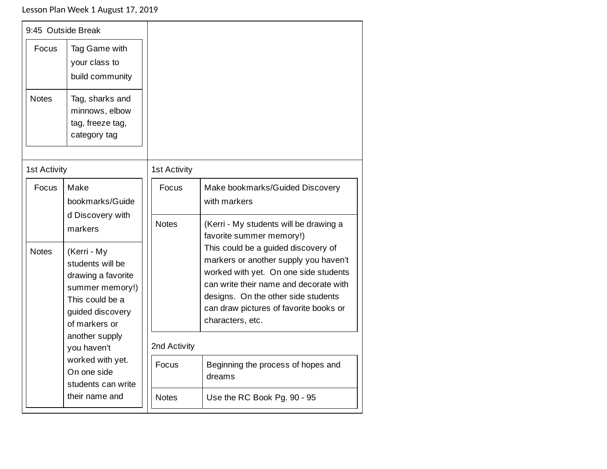| 9:45 Outside Break            |                                                                                                                                  |                     |                                                                                                                                                                                                                                                                      |
|-------------------------------|----------------------------------------------------------------------------------------------------------------------------------|---------------------|----------------------------------------------------------------------------------------------------------------------------------------------------------------------------------------------------------------------------------------------------------------------|
| Focus                         | Tag Game with<br>your class to<br>build community                                                                                |                     |                                                                                                                                                                                                                                                                      |
| <b>Notes</b>                  | Tag, sharks and<br>minnows, elbow<br>tag, freeze tag,<br>category tag                                                            |                     |                                                                                                                                                                                                                                                                      |
| <b>1st Activity</b>           |                                                                                                                                  | <b>1st Activity</b> |                                                                                                                                                                                                                                                                      |
| Focus                         | Make<br>bookmarks/Guide<br>d Discovery with                                                                                      | Focus               | Make bookmarks/Guided Discovery<br>with markers                                                                                                                                                                                                                      |
|                               | markers                                                                                                                          | <b>Notes</b>        | (Kerri - My students will be drawing a<br>favorite summer memory!)                                                                                                                                                                                                   |
| <b>Notes</b>                  | (Kerri - My<br>students will be<br>drawing a favorite<br>summer memory!)<br>This could be a<br>guided discovery<br>of markers or |                     | This could be a guided discovery of<br>markers or another supply you haven't<br>worked with yet. On one side students<br>can write their name and decorate with<br>designs. On the other side students<br>can draw pictures of favorite books or<br>characters, etc. |
| another supply<br>you haven't |                                                                                                                                  | 2nd Activity        |                                                                                                                                                                                                                                                                      |
|                               | worked with yet.<br>On one side<br>students can write                                                                            | Focus               | Beginning the process of hopes and<br>dreams                                                                                                                                                                                                                         |
|                               | their name and                                                                                                                   | <b>Notes</b>        | Use the RC Book Pg. 90 - 95                                                                                                                                                                                                                                          |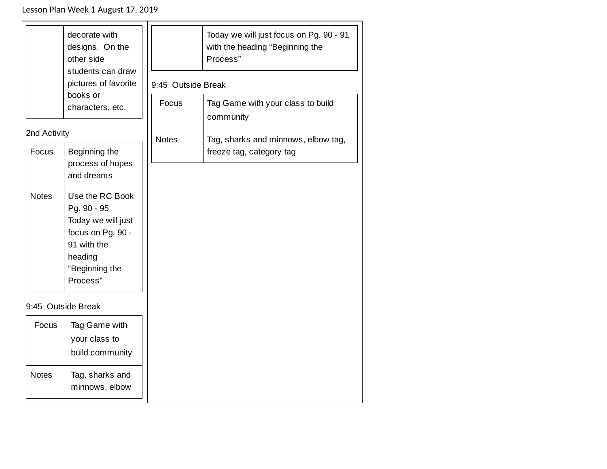|                    | decorate with<br>designs. On the<br>other side<br>students can draw<br>pictures of favorite<br>books or<br>characters, etc.       | 9:45 Outside Break<br>Focus | Today we will just focus on Pg. 90 - 91<br>with the heading "Beginning the<br>Process"<br>Tag Game with your class to build<br>community |
|--------------------|-----------------------------------------------------------------------------------------------------------------------------------|-----------------------------|------------------------------------------------------------------------------------------------------------------------------------------|
|                    | 2nd Activity                                                                                                                      |                             | <b>Notes</b><br>Tag, sharks and minnows, elbow tag,                                                                                      |
| Focus              | Beginning the<br>process of hopes<br>and dreams                                                                                   |                             | freeze tag, category tag                                                                                                                 |
| <b>Notes</b>       | Use the RC Book<br>Pg. 90 - 95<br>Today we will just<br>focus on Pg. 90 -<br>91 with the<br>heading<br>"Beginning the<br>Process" |                             |                                                                                                                                          |
| 9:45 Outside Break |                                                                                                                                   |                             |                                                                                                                                          |
| Focus              | Tag Game with<br>your class to<br>build community                                                                                 |                             |                                                                                                                                          |
| <b>Notes</b>       | Tag, sharks and<br>minnows, elbow                                                                                                 |                             |                                                                                                                                          |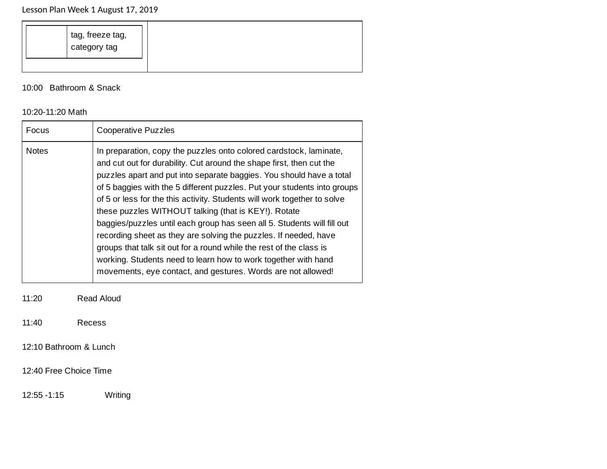10:00 Bathroom & Snack

#### 10:20-11:20 Math

| Focus        | <b>Cooperative Puzzles</b>                                                                                                                                                                                                                                                                                                                                                                                                                                                                                                                                                                                                                                                                                                                                                                 |
|--------------|--------------------------------------------------------------------------------------------------------------------------------------------------------------------------------------------------------------------------------------------------------------------------------------------------------------------------------------------------------------------------------------------------------------------------------------------------------------------------------------------------------------------------------------------------------------------------------------------------------------------------------------------------------------------------------------------------------------------------------------------------------------------------------------------|
| <b>Notes</b> | In preparation, copy the puzzles onto colored cardstock, laminate,<br>and cut out for durability. Cut around the shape first, then cut the<br>puzzles apart and put into separate baggies. You should have a total<br>of 5 baggies with the 5 different puzzles. Put your students into groups<br>of 5 or less for the this activity. Students will work together to solve<br>these puzzles WITHOUT talking (that is KEY!). Rotate<br>baggies/puzzles until each group has seen all 5. Students will fill out<br>recording sheet as they are solving the puzzles. If needed, have<br>groups that talk sit out for a round while the rest of the class is<br>working. Students need to learn how to work together with hand<br>movements, eye contact, and gestures. Words are not allowed! |

11:20 Read Aloud

11:40 Recess

12:10 Bathroom & Lunch

12:40 Free Choice Time

12:55 -1:15 Writing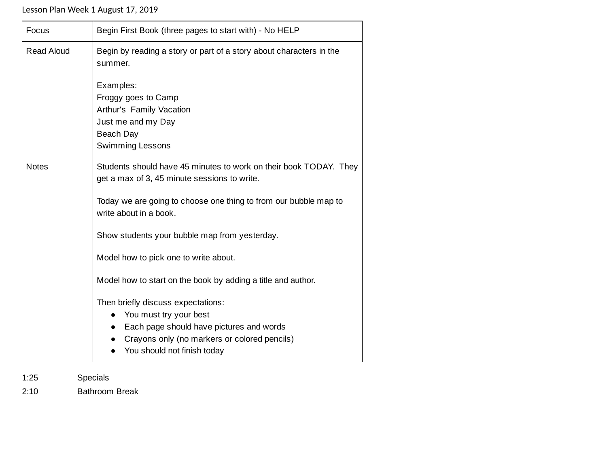| Focus             | Begin First Book (three pages to start with) - No HELP                                                                                                                                                                                                                                                                                                                                                                                                                                                                                                                                         |
|-------------------|------------------------------------------------------------------------------------------------------------------------------------------------------------------------------------------------------------------------------------------------------------------------------------------------------------------------------------------------------------------------------------------------------------------------------------------------------------------------------------------------------------------------------------------------------------------------------------------------|
| <b>Read Aloud</b> | Begin by reading a story or part of a story about characters in the<br>summer.                                                                                                                                                                                                                                                                                                                                                                                                                                                                                                                 |
|                   | Examples:<br>Froggy goes to Camp<br>Arthur's Family Vacation<br>Just me and my Day<br>Beach Day<br><b>Swimming Lessons</b>                                                                                                                                                                                                                                                                                                                                                                                                                                                                     |
| <b>Notes</b>      | Students should have 45 minutes to work on their book TODAY. They<br>get a max of 3, 45 minute sessions to write.<br>Today we are going to choose one thing to from our bubble map to<br>write about in a book.<br>Show students your bubble map from yesterday.<br>Model how to pick one to write about.<br>Model how to start on the book by adding a title and author.<br>Then briefly discuss expectations:<br>You must try your best<br>$\bullet$<br>Each page should have pictures and words<br>$\bullet$<br>Crayons only (no markers or colored pencils)<br>You should not finish today |

1:25 Specials

2:10 Bathroom Break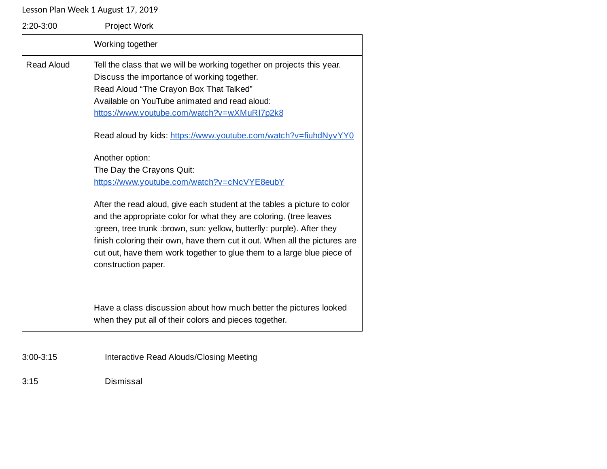| $2:20-3:00$       | Project Work                                                                                                                                                                                                                                                                                                                                                                                                                                                                                                                           |
|-------------------|----------------------------------------------------------------------------------------------------------------------------------------------------------------------------------------------------------------------------------------------------------------------------------------------------------------------------------------------------------------------------------------------------------------------------------------------------------------------------------------------------------------------------------------|
|                   | Working together                                                                                                                                                                                                                                                                                                                                                                                                                                                                                                                       |
| <b>Read Aloud</b> | Tell the class that we will be working together on projects this year.<br>Discuss the importance of working together.<br>Read Aloud "The Crayon Box That Talked"<br>Available on YouTube animated and read aloud:<br>https://www.youtube.com/watch?v=wXMuRI7p2k8<br>Read aloud by kids: https://www.youtube.com/watch?v=fiuhdNyvYY0<br>Another option:<br>The Day the Crayons Quit:<br>https://www.youtube.com/watch?v=cNcVYE8eubY                                                                                                     |
|                   | After the read aloud, give each student at the tables a picture to color<br>and the appropriate color for what they are coloring. (tree leaves<br>:green, tree trunk :brown, sun: yellow, butterfly: purple). After they<br>finish coloring their own, have them cut it out. When all the pictures are<br>cut out, have them work together to glue them to a large blue piece of<br>construction paper.<br>Have a class discussion about how much better the pictures looked<br>when they put all of their colors and pieces together. |

3:00-3:15 Interactive Read Alouds/Closing Meeting

3:15 Dismissal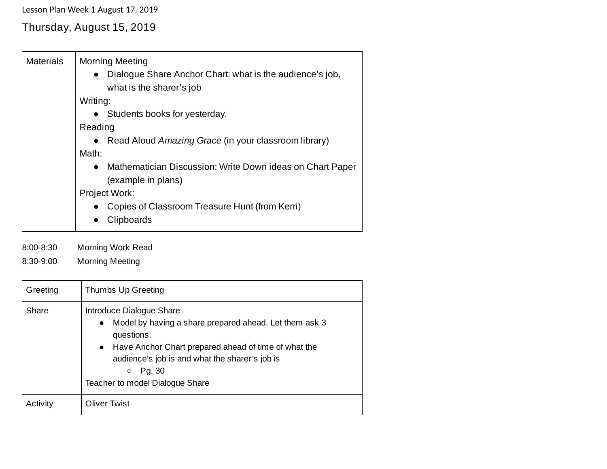# Thursday, August 15, 2019

| <b>Materials</b> | <b>Morning Meeting</b><br>• Dialogue Share Anchor Chart: what is the audience's job,<br>what is the sharer's job<br>Writing: |
|------------------|------------------------------------------------------------------------------------------------------------------------------|
|                  | • Students books for yesterday.                                                                                              |
|                  | Reading                                                                                                                      |
|                  | • Read Aloud Amazing Grace (in your classroom library)                                                                       |
|                  | Math:                                                                                                                        |
|                  | Mathematician Discussion: Write Down ideas on Chart Paper<br>$\bullet$<br>(example in plans)                                 |
|                  | Project Work:                                                                                                                |
|                  | Copies of Classroom Treasure Hunt (from Kerri)<br>Clipboards                                                                 |

8:00-8:30 Morning Work Read

8:30-9:00 Morning Meeting

| Greeting | Thumbs Up Greeting                                                                                                                                                                                                                                                                |
|----------|-----------------------------------------------------------------------------------------------------------------------------------------------------------------------------------------------------------------------------------------------------------------------------------|
| Share    | Introduce Dialogue Share<br>Model by having a share prepared ahead. Let them ask 3<br>$\bullet$<br>questions.<br>• Have Anchor Chart prepared ahead of time of what the<br>audience's job is and what the sharer's job is<br>Pg. 30<br>$\circ$<br>Teacher to model Dialogue Share |
| Activity | <b>Oliver Twist</b>                                                                                                                                                                                                                                                               |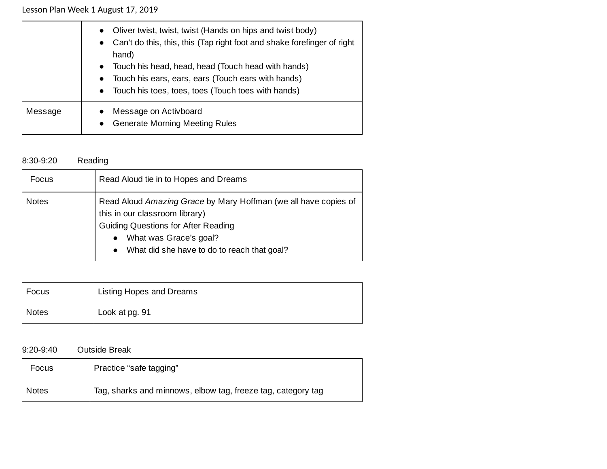|         | Oliver twist, twist, twist (Hands on hips and twist body)<br>$\bullet$<br>Can't do this, this, this (Tap right foot and shake forefinger of right<br>$\bullet$<br>hand)<br>• Touch his head, head, head (Touch head with hands)<br>• Touch his ears, ears, ears (Touch ears with hands)<br>• Touch his toes, toes, toes (Touch toes with hands) |
|---------|-------------------------------------------------------------------------------------------------------------------------------------------------------------------------------------------------------------------------------------------------------------------------------------------------------------------------------------------------|
| Message | Message on Activboard<br>$\bullet$<br><b>Generate Morning Meeting Rules</b><br>$\bullet$                                                                                                                                                                                                                                                        |

## 8:30-9:20 Reading

| <b>Focus</b> | Read Aloud tie in to Hopes and Dreams                                                                                                                                                                                                   |
|--------------|-----------------------------------------------------------------------------------------------------------------------------------------------------------------------------------------------------------------------------------------|
| <b>Notes</b> | Read Aloud Amazing Grace by Mary Hoffman (we all have copies of<br>this in our classroom library)<br><b>Guiding Questions for After Reading</b><br>What was Grace's goal?<br>$\bullet$<br>• What did she have to do to reach that goal? |

| Focus        | Listing Hopes and Dreams |
|--------------|--------------------------|
| <b>Notes</b> | Look at pg. 91           |

9:20-9:40 Outside Break

| Focus        | Practice "safe tagging"                                      |
|--------------|--------------------------------------------------------------|
| <b>Notes</b> | Tag, sharks and minnows, elbow tag, freeze tag, category tag |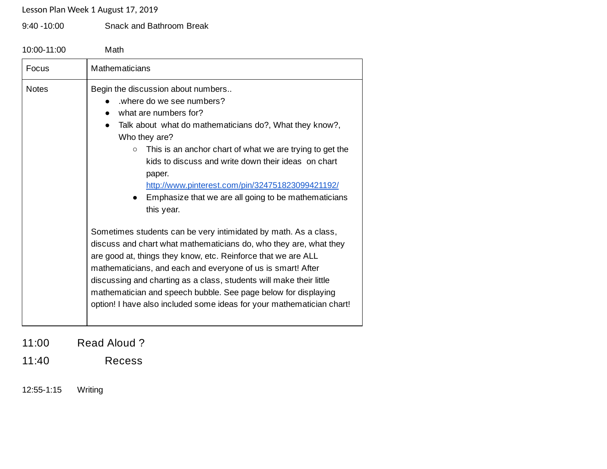9:40 -10:00 Snack and Bathroom Break

10:00-11:00 Math

| Focus        | Mathematicians                                                                                                                                                                                                                                                                                                                                                                                                                                                                         |
|--------------|----------------------------------------------------------------------------------------------------------------------------------------------------------------------------------------------------------------------------------------------------------------------------------------------------------------------------------------------------------------------------------------------------------------------------------------------------------------------------------------|
| <b>Notes</b> | Begin the discussion about numbers<br>where do we see numbers?<br>what are numbers for?<br>Talk about what do mathematicians do?, What they know?,<br>$\bullet$<br>Who they are?<br>This is an anchor chart of what we are trying to get the<br>$\circ$<br>kids to discuss and write down their ideas on chart<br>paper.<br>http://www.pinterest.com/pin/324751823099421192/<br>Emphasize that we are all going to be mathematicians<br>this year.                                     |
|              | Sometimes students can be very intimidated by math. As a class,<br>discuss and chart what mathematicians do, who they are, what they<br>are good at, things they know, etc. Reinforce that we are ALL<br>mathematicians, and each and everyone of us is smart! After<br>discussing and charting as a class, students will make their little<br>mathematician and speech bubble. See page below for displaying<br>option! I have also included some ideas for your mathematician chart! |

11:00 Read Aloud ?

11:40 Recess

12:55-1:15 Writing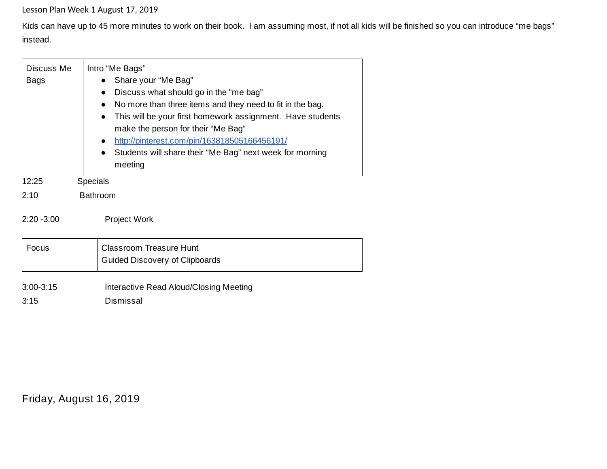Kids can have up to 45 more minutes to work on their book. I am assuming most, if not all kids will be finished so you can introduce "me bags" instead.

| Discuss Me<br>Bags  | Intro "Me Bags"<br>Share your "Me Bag"<br>Discuss what should go in the "me bag"<br>$\bullet$<br>No more than three items and they need to fit in the bag.<br>$\bullet$<br>This will be your first homework assignment. Have students<br>$\bullet$<br>make the person for their "Me Bag"<br>http://pinterest.com/pin/163818505166456191/<br>$\bullet$<br>Students will share their "Me Bag" next week for morning<br>$\bullet$<br>meeting |
|---------------------|-------------------------------------------------------------------------------------------------------------------------------------------------------------------------------------------------------------------------------------------------------------------------------------------------------------------------------------------------------------------------------------------------------------------------------------------|
| 12:25               | <b>Specials</b>                                                                                                                                                                                                                                                                                                                                                                                                                           |
| 2:10                | <b>Bathroom</b>                                                                                                                                                                                                                                                                                                                                                                                                                           |
| $2:20 - 3:00$       | <b>Project Work</b>                                                                                                                                                                                                                                                                                                                                                                                                                       |
| Focus               | Classroom Treasure Hunt                                                                                                                                                                                                                                                                                                                                                                                                                   |
|                     | Guided Discovery of Clipboards                                                                                                                                                                                                                                                                                                                                                                                                            |
| $3:00-3:15$<br>3:15 | Interactive Read Aloud/Closing Meeting<br>Dismissal                                                                                                                                                                                                                                                                                                                                                                                       |

Friday, August 16, 2019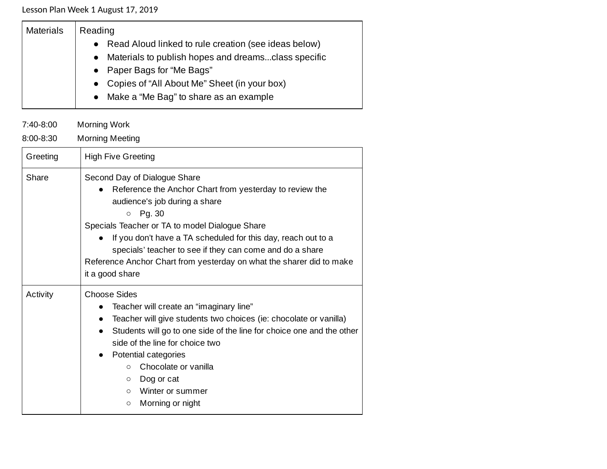| <b>Materials</b> | Reading                                                |
|------------------|--------------------------------------------------------|
|                  | • Read Aloud linked to rule creation (see ideas below) |
|                  | • Materials to publish hopes and dreamsclass specific  |
|                  | • Paper Bags for "Me Bags"                             |
|                  | • Copies of "All About Me" Sheet (in your box)         |
|                  | • Make a "Me Bag" to share as an example               |
|                  |                                                        |

7:40-8:00 Morning Work

8:00-8:30 Morning Meeting

| Greeting | <b>High Five Greeting</b>                                                                                                                                                                                                                                                                                                                                                                                                            |
|----------|--------------------------------------------------------------------------------------------------------------------------------------------------------------------------------------------------------------------------------------------------------------------------------------------------------------------------------------------------------------------------------------------------------------------------------------|
| Share    | Second Day of Dialogue Share<br>Reference the Anchor Chart from yesterday to review the<br>audience's job during a share<br>Pg. 30<br>$\circ$<br>Specials Teacher or TA to model Dialogue Share<br>If you don't have a TA scheduled for this day, reach out to a<br>$\bullet$<br>specials' teacher to see if they can come and do a share<br>Reference Anchor Chart from yesterday on what the sharer did to make<br>it a good share |
| Activity | <b>Choose Sides</b><br>Teacher will create an "imaginary line"<br>Teacher will give students two choices (ie: chocolate or vanilla)<br>Students will go to one side of the line for choice one and the other<br>side of the line for choice two<br>Potential categories<br>Chocolate or vanilla<br>$\circ$<br>Dog or cat<br>$\circ$<br>Winter or summer<br>$\circ$<br>Morning or night<br>$\circ$                                    |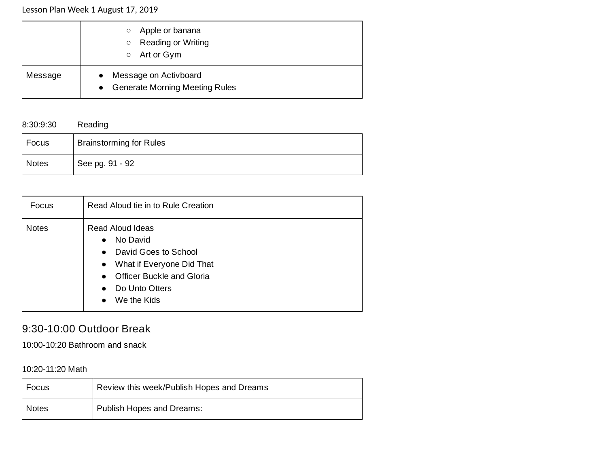|         | Apple or banana<br>$\circ$<br>Reading or Writing<br>$\circ$<br>Art or Gym<br>$\circ$ |
|---------|--------------------------------------------------------------------------------------|
| Message | Message on Activboard<br><b>Generate Morning Meeting Rules</b><br>$\bullet$          |

### 8:30:9:30 Reading

| Focus        | <b>Brainstorming for Rules</b> |
|--------------|--------------------------------|
| <b>Notes</b> | See pg. 91 - 92                |

| Focus        | Read Aloud tie in to Rule Creation                                                                                                                                                                                            |
|--------------|-------------------------------------------------------------------------------------------------------------------------------------------------------------------------------------------------------------------------------|
| <b>Notes</b> | Read Aloud Ideas<br>No David<br>$\bullet$<br>David Goes to School<br>$\bullet$<br>What if Everyone Did That<br>$\bullet$<br>Officer Buckle and Gloria<br>$\bullet$<br>Do Unto Otters<br>$\bullet$<br>We the Kids<br>$\bullet$ |

# 9:30-10:00 Outdoor Break

10:00-10:20 Bathroom and snack

10:20-11:20 Math

| Focus        | Review this week/Publish Hopes and Dreams |
|--------------|-------------------------------------------|
| <b>Notes</b> | Publish Hopes and Dreams:                 |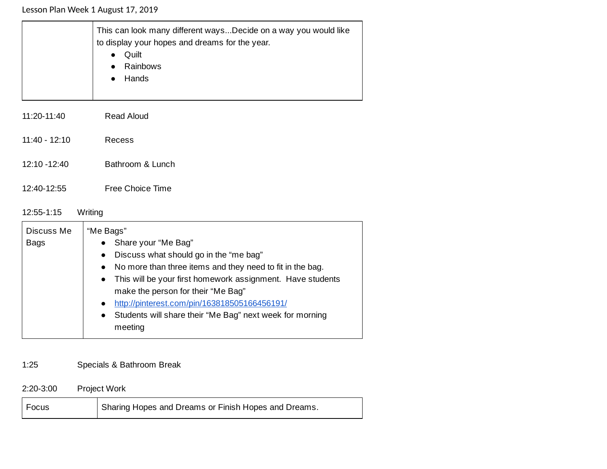|                 | This can look many different waysDecide on a way you would like<br>to display your hopes and dreams for the year.<br>Quilt<br>$\bullet$<br>Rainbows<br>$\bullet$<br>Hands<br>$\bullet$ |
|-----------------|----------------------------------------------------------------------------------------------------------------------------------------------------------------------------------------|
| 11:20-11:40     | <b>Read Aloud</b>                                                                                                                                                                      |
| $11:40 - 12:10$ | Recess                                                                                                                                                                                 |
| $12:10 - 12:40$ | Bathroom & Lunch                                                                                                                                                                       |
| 12:40-12:55     | Free Choice Time                                                                                                                                                                       |

## 12:55-1:15 Writing

| "Me Bags"                                                               |
|-------------------------------------------------------------------------|
| Share your "Me Bag"<br>$\bullet$                                        |
| Discuss what should go in the "me bag"<br>$\bullet$                     |
| No more than three items and they need to fit in the bag.<br>$\bullet$  |
| This will be your first homework assignment. Have students<br>$\bullet$ |
| make the person for their "Me Bag"                                      |
| http://pinterest.com/pin/163818505166456191/<br>$\bullet$               |
| Students will share their "Me Bag" next week for morning<br>$\bullet$   |
| meeting                                                                 |
|                                                                         |

# 1:25 Specials & Bathroom Break

2:20-3:00 Project Work

| $ $ Focus | Sharing Hopes and Dreams or Finish Hopes and Dreams. |
|-----------|------------------------------------------------------|
|-----------|------------------------------------------------------|